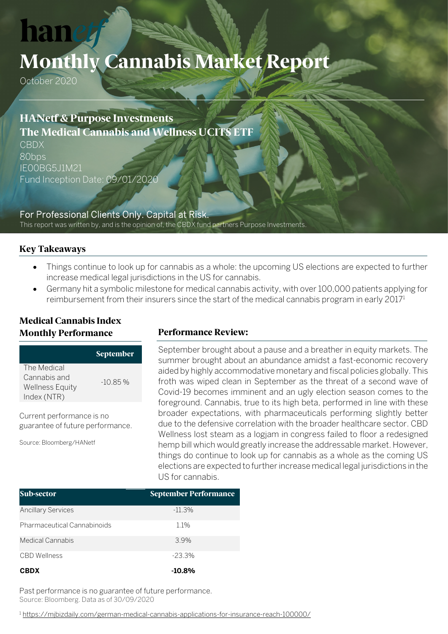# **han**

# **Monthly Cannabis Market Report**

October 2020

## **HANetf & Purpose Investments The Medical Cannabis and Wellness UCITS ETF**

CBDX 80bps IE00BG5J1M21 Fund Inception Date: 09/01/2020

For Professional Clients Only. Capital at Risk. This report was written by, and is the opinion of, the CBDX fund partners Purpose Investments.

#### **Key Takeaways**

- Things continue to look up for cannabis as a whole: the upcoming US elections are expected to further increase medical legal jurisdictions in the US for cannabis.
- Germany hit a symbolic milestone for medical cannabis activity, with over 100,000 patients applying for reimbursement from their insurers since the start of the medical cannabis program in early 2017<sup>1</sup>

### **Medical Cannabis Index Monthly Performance**

|                        | <b>September</b> |
|------------------------|------------------|
| The Medical            |                  |
| Cannabis and           |                  |
| <b>Wellness Equity</b> | $-10.85\%$       |
| Index (NTR)            |                  |

Current performance is no guarantee of future performance.

Source: Bloomberg/HANetf

#### **Performance Review:**

September brought about a pause and a breather in equity markets. The summer brought about an abundance amidst a fast-economic recovery aided by highly accommodative monetary and fiscal policies globally. This froth was wiped clean in September as the threat of a second wave of Covid-19 becomes imminent and an ugly election season comes to the foreground. Cannabis, true to its high beta, performed in line with these broader expectations, with pharmaceuticals performing slightly better due to the defensive correlation with the broader healthcare sector. CBD Wellness lost steam as a logjam in congress failed to floor a redesigned hemp bill which would greatly increase the addressable market. However, things do continue to look up for cannabis as a whole as the coming US elections are expected to further increase medical legal jurisdictions in the US for cannabis.

| Sub-sector                         | <b>September Performance</b> |  |  |
|------------------------------------|------------------------------|--|--|
| <b>Ancillary Services</b>          | $-11.3%$                     |  |  |
| <b>Pharmaceutical Cannabinoids</b> | 1.1%                         |  |  |
| Medical Cannabis                   | 3.9%                         |  |  |
| <b>CBD</b> Wellness                | $-23.3\%$                    |  |  |
| <b>CBDX</b>                        | $-10.8\%$                    |  |  |

Past performance is no guarantee of future performance. Source: Bloomberg. Data as of 30/09/2020

<sup>1</sup> <https://mjbizdaily.com/german-medical-cannabis-applications-for-insurance-reach-100000/>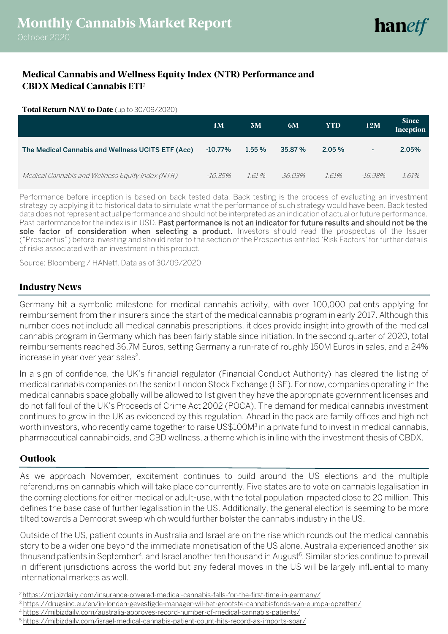### **Medical Cannabis and Wellness Equity Index (NTR) Performance and CBDX Medical Cannabis ETF**

#### **Total Return NAV to Date** (up to 30/09/2020)

|                                                   | 1M         | 3M     | 6M      | <b>YTD</b> | 12M     | <b>Since</b><br>Inception |
|---------------------------------------------------|------------|--------|---------|------------|---------|---------------------------|
| The Medical Cannabis and Wellness UCITS ETF (Acc) | $-10.77%$  | 1.55%  | 35.87 % | $2.05\%$   | ٠       | 2.05%                     |
| Medical Cannabis and Wellness Equity Index (NTR)  | $-10.85\%$ | 1.61 % | 36.03%  | 1.61%      | -16 98% | 1.61%                     |

Performance before inception is based on back tested data. Back testing is the process of evaluating an investment strategy by applying it to historical data to simulate what the performance of such strategy would have been. Back tested data does not represent actual performance and should not be interpreted as an indication of actual or future performance. Past performance for the index is in USD. Past performance is not an indicator for future results and should not be the sole factor of consideration when selecting a product. Investors should read the prospectus of the Issuer ("Prospectus") before investing and should refer to the section of the Prospectus entitled 'Risk Factors' for further details of risks associated with an investment in this product.

Source: Bloomberg / HANetf. Data as of 30/09/2020

#### **Industry News**

Germany hit a symbolic milestone for medical cannabis activity, with over 100,000 patients applying for reimbursement from their insurers since the start of the medical cannabis program in early 2017. Although this number does not include all medical cannabis prescriptions, it does provide insight into growth of the medical cannabis program in Germany which has been fairly stable since initiation. In the second quarter of 2020, total reimbursements reached 36.7M Euros, setting Germany a run-rate of roughly 150M Euros in sales, and a 24% increase in year over year sales<sup>2</sup>.

In a sign of confidence, the UK's financial regulator (Financial Conduct Authority) has cleared the listing of medical cannabis companies on the senior London Stock Exchange (LSE). For now, companies operating in the medical cannabis space globally will be allowed to list given they have the appropriate government licenses and do not fall foul of the UK's Proceeds of Crime Act 2002 (POCA). The demand for medical cannabis investment continues to grow in the UK as evidenced by this regulation. Ahead in the pack are family offices and high net worth investors, who recently came together to raise US\$100M<sup>3</sup> in a private fund to invest in medical cannabis, pharmaceutical cannabinoids, and CBD wellness, a theme which is in line with the investment thesis of CBDX.

#### **Outlook**

As we approach November, excitement continues to build around the US elections and the multiple referendums on cannabis which will take place concurrently. Five states are to vote on cannabis legalisation in the coming elections for either medical or adult-use, with the total population impacted close to 20 million. This defines the base case of further legalisation in the US. Additionally, the general election is seeming to be more tilted towards a Democrat sweep which would further bolster the cannabis industry in the US.

Outside of the US, patient counts in Australia and Israel are on the rise which rounds out the medical cannabis story to be a wider one beyond the immediate monetisation of the US alone. Australia experienced another six thousand patients in September<sup>4</sup>, and Israel another ten thousand in August<sup>5</sup>. Similar stories continue to prevail in different jurisdictions across the world but any federal moves in the US will be largely influential to many international markets as well.

<sup>2</sup> <https://mjbizdaily.com/insurance-covered-medical-cannabis-falls-for-the-first-time-in-germany/>

<sup>3</sup> <https://drugsinc.eu/en/in-londen-gevestigde-manager-wil-het-grootste-cannabisfonds-van-europa-opzetten/>

<sup>4</sup> <https://mjbizdaily.com/australia-approves-record-number-of-medical-cannabis-patients/>

<sup>5</sup> <https://mjbizdaily.com/israel-medical-cannabis-patient-count-hits-record-as-imports-soar/>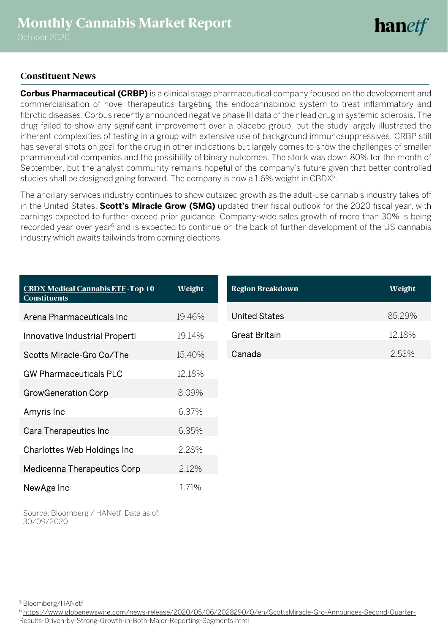# **hanetf**

#### **Constituent News**

**Corbus Pharmaceutical (CRBP)** is a clinical stage pharmaceutical company focused on the development and commercialisation of novel therapeutics targeting the endocannabinoid system to treat inflammatory and fibrotic diseases. Corbus recently announced negative phase III data of their lead drug in systemic sclerosis. The drug failed to show any significant improvement over a placebo group, but the study largely illustrated the inherent complexities of testing in a group with extensive use of background immunosuppressives. CRBP still has several shots on goal for the drug in other indications but largely comes to show the challenges of smaller pharmaceutical companies and the possibility of binary outcomes. The stock was down 80% for the month of September, but the analyst community remains hopeful of the company's future given that better controlled studies shall be designed going forward. The company is now a 1.6% weight in CBDX<sup>5</sup>.

The ancillary services industry continues to show outsized growth as the adult-use cannabis industry takes off in the United States. **Scott's Miracle Grow (SMG)** updated their fiscal outlook for the 2020 fiscal year, with earnings expected to further exceed prior guidance. Company-wide sales growth of more than 30% is being recorded year over year<sup>6</sup> and is expected to continue on the back of further development of the US cannabis industry which awaits tailwinds from coming elections.

| <b>CBDX Medical Cannabis ETF-Top 10</b><br><b>Constituents</b> | Weight | <b>Region Breakdown</b> | Weight |
|----------------------------------------------------------------|--------|-------------------------|--------|
| Arena Pharmaceuticals Inc                                      | 19.46% | <b>United States</b>    | 85.29% |
| Innovative Industrial Properti                                 | 19.14% | <b>Great Britain</b>    | 12.18% |
| Scotts Miracle-Gro Co/The                                      | 15.40% | Canada                  | 2.53%  |
| <b>GW Pharmaceuticals PLC</b>                                  | 12.18% |                         |        |
| <b>GrowGeneration Corp</b>                                     | 8.09%  |                         |        |
| Amyris Inc                                                     | 6.37%  |                         |        |
| Cara Therapeutics Inc                                          | 6.35%  |                         |        |
| Charlottes Web Holdings Inc                                    | 2.28%  |                         |        |
| Medicenna Therapeutics Corp                                    | 2.12%  |                         |        |
| NewAge Inc                                                     | 1.71%  |                         |        |

Source: Bloomberg / HANetf. Data as of 30/09/2020

<sup>5</sup> Bloomberg/HANetf

<sup>6</sup> [https://www.globenewswire.com/news-release/2020/05/06/2028290/0/en/ScottsMiracle-Gro-Announces-Second-Quarter-](https://www.globenewswire.com/news-release/2020/05/06/2028290/0/en/ScottsMiracle-Gro-Announces-Second-Quarter-Results-Driven-by-Strong-Growth-in-Both-Major-Reporting-Segments.html)[Results-Driven-by-Strong-Growth-in-Both-Major-Reporting-Segments.html](https://www.globenewswire.com/news-release/2020/05/06/2028290/0/en/ScottsMiracle-Gro-Announces-Second-Quarter-Results-Driven-by-Strong-Growth-in-Both-Major-Reporting-Segments.html)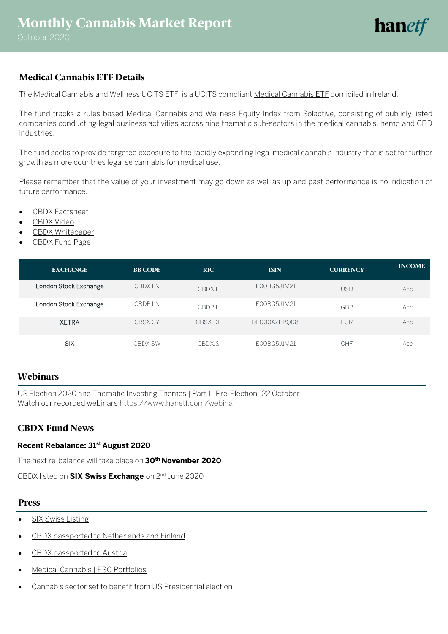### **Medical Cannabis ETF Details**

The Medical Cannabis and Wellness UCITS ETF, is a UCITS complian[t Medical Cannabis ETF](https://www.hanetf.com/product/6/fund/the-medical-cannabis-and-wellness-ucits-etf-acc) domiciled in Ireland.

The fund tracks a rules-based Medical Cannabis and Wellness Equity Index from Solactive, consisting of publicly listed companies conducting legal business activities across nine thematic sub-sectors in the medical cannabis, hemp and CBD industries.

The fund seeks to provide targeted exposure to the rapidly expanding legal medical cannabis industry that is set for further growth as more countries legalise cannabis for medical use.

Please remember that the value of your investment may go down as well as up and past performance is no indication of future performance.

- [CBDX Factsheet](https://www.hanetf.com/PrintPdf.aspx?ProductId=6)
- [CBDX Video](https://www.youtube.com/watch?v=CMCGGc9h3io&feature=emb_logo)
- [CBDX Whitepaper](https://www.hanetf.com/UsersFiles/HanETF/Documents/318/CBDX-Whitepaper-A-Budding-Opportunity-the-Investment-Case-for-Medical-Cannabis.pdf)
- [CBDX Fund Page](https://www.hanetf.com/product/6/fund/the-medical-cannabis-and-wellness-ucits-etf-acc)

| <b>EXCHANGE</b>       | <b>BB CODE</b> | <b>RIC</b> | <b>ISIN</b>   | <b>CURRENCY</b> | <b>INCOME</b> |
|-----------------------|----------------|------------|---------------|-----------------|---------------|
| London Stock Exchange | <b>CBDXIN</b>  | CBDX.L     | IE00BG5J1M21  | <b>USD</b>      | Acc           |
| London Stock Exchange | <b>CBDPIN</b>  | CBDP.L     | IE00BG5J1M21  | GBP             | Acc           |
| <b>XETRA</b>          | CBSX GY        | CBSX.DF    | DE000A2PP008  | <b>EUR</b>      | Acc           |
| <b>SIX</b>            | <b>CBDX SW</b> | CBDX.S     | IF00BG5.J1M21 | CHF             | Acc           |

#### **Webinars**

[US Election 2020 and Thematic Investing Themes | Part 1-](https://www.brighttalk.com/webcast/17122/445389?utm_source=brighttalk-portal&utm_medium=web&utm_content=hanetf&utm_campaign=webcasts-search-results-feed) Pre-Election- 22 October Watch our recorded webinars <https://www.hanetf.com/webinar>

#### **CBDX Fund News**

#### **Recent Rebalance: 31st August 2020**

The next re-balance will take place on **30th November 2020**

CBDX listed on **SIX Swiss Exchange** on 2nd June 2020

#### **Press**

- [SIX Swiss Listing](https://www.hanetf.com/article/430/hanetf-has-entered-swiss-etf-market-bringing-cannabis-cloud-computing-and-emerging-markets-to-swiss-investors)
- [CBDX passported to Netherlands and Finland](https://www.hanetf.com/article/361/hanetfs-medicinal-cannabis-fund-cbdx-has-been-passported-for-distribution-in-the-netherlands-and-finland-cbdx)
- CBDX passported to Austria
- [Medical Cannabis | ESG Portfolios](https://www.hanetf.com/article/466/medical-cannabis-esg-portfolios)
- [Cannabis sector set to benefit from US Presidential election](https://www.hanetf.com/article/462/cannabis-sector-set-to-benefit-from-us-presidential-election)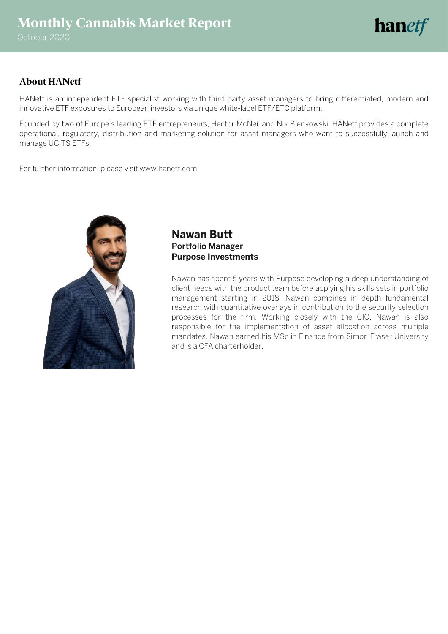# **hanetf**

### **About HANetf**

HANetf is an independent ETF specialist working with third-party asset managers to bring differentiated, modern and innovative ETF exposures to European investors via unique white-label ETF/ETC platform.

Founded by two of Europe's leading ETF entrepreneurs, Hector McNeil and Nik Bienkowski, HANetf provides a complete operational, regulatory, distribution and marketing solution for asset managers who want to successfully launch and manage UCITS ETFs.

For further information, please visi[t www.hanetf.com](http://www.hanetf.com/)



### **Nawan Butt** Portfolio Manager **Purpose Investments**

Nawan has spent 5 years with Purpose developing a deep understanding of client needs with the product team before applying his skills sets in portfolio management starting in 2018. Nawan combines in depth fundamental research with quantitative overlays in contribution to the security selection processes for the firm. Working closely with the CIO, Nawan is also responsible for the implementation of asset allocation across multiple mandates. Nawan earned his MSc in Finance from Simon Fraser University and is a CFA charterholder.